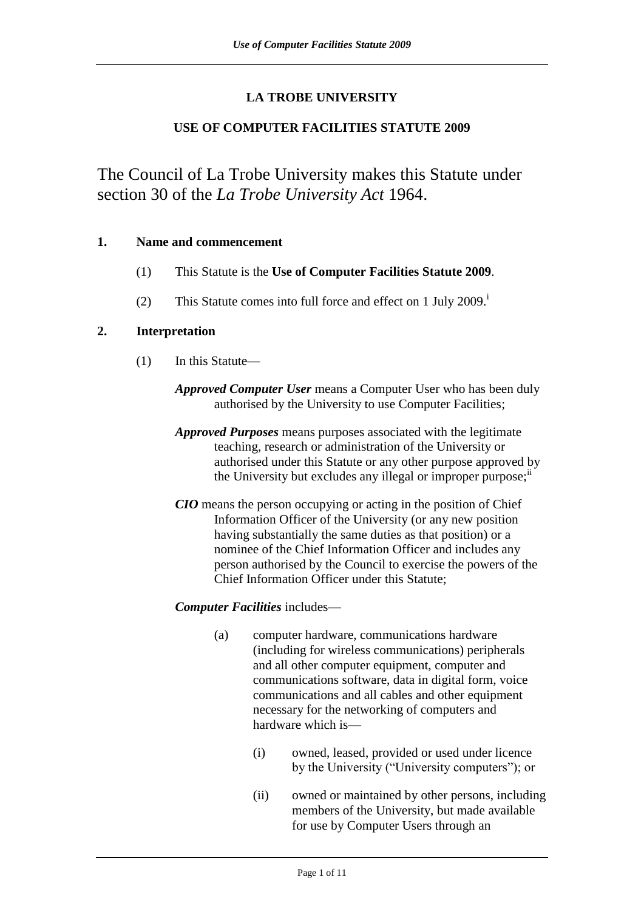# **LA TROBE UNIVERSITY**

# **USE OF COMPUTER FACILITIES STATUTE 2009**

The Council of La Trobe University makes this Statute under section 30 of the *La Trobe University Act* 1964.

# **1. Name and commencement**

- (1) This Statute is the **Use of Computer Facilities Statute 2009**.
- (2) This Statute comes into full force and effect on 1 July  $2009$ .<sup>i</sup>

# **2. Interpretation**

- (1) In this Statute—
	- *Approved Computer User* means a Computer User who has been duly authorised by the University to use Computer Facilities;
	- *Approved Purposes* means purposes associated with the legitimate teaching, research or administration of the University or authorised under this Statute or any other purpose approved by the University but excludes any illegal or improper purpose; $\mathbf{u}$
	- *CIO* means the person occupying or acting in the position of Chief Information Officer of the University (or any new position having substantially the same duties as that position) or a nominee of the Chief Information Officer and includes any person authorised by the Council to exercise the powers of the Chief Information Officer under this Statute;

# *Computer Facilities* includes—

- (a) computer hardware, communications hardware (including for wireless communications) peripherals and all other computer equipment, computer and communications software, data in digital form, voice communications and all cables and other equipment necessary for the networking of computers and hardware which is—
	- (i) owned, leased, provided or used under licence by the University ("University computers"); or
	- (ii) owned or maintained by other persons, including members of the University, but made available for use by Computer Users through an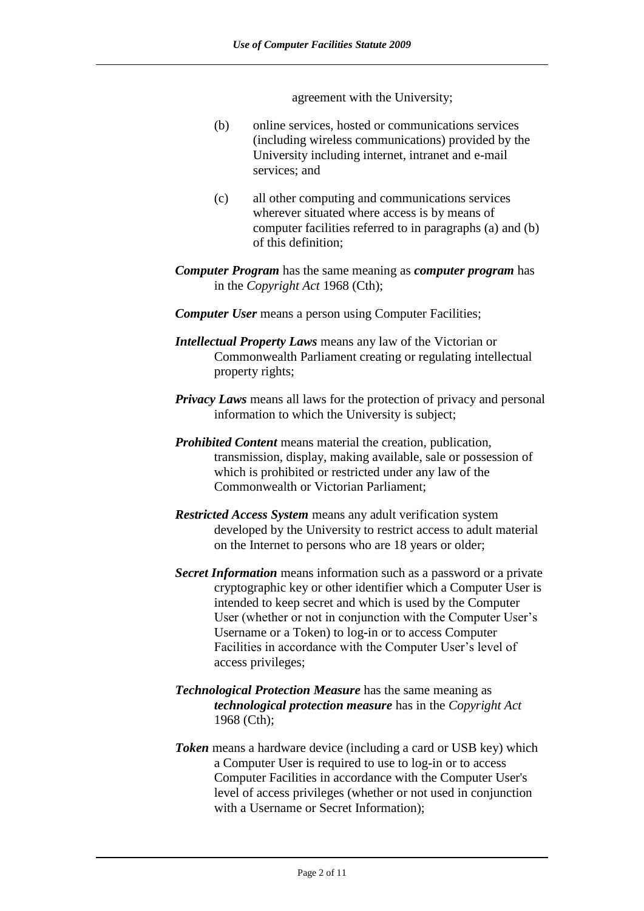agreement with the University;

- (b) online services, hosted or communications services (including wireless communications) provided by the University including internet, intranet and e-mail services; and
- (c) all other computing and communications services wherever situated where access is by means of computer facilities referred to in paragraphs (a) and (b) of this definition;
- *Computer Program* has the same meaning as *computer program* has in the *Copyright Act* 1968 (Cth);
- *Computer User* means a person using Computer Facilities;
- *Intellectual Property Laws* means any law of the Victorian or Commonwealth Parliament creating or regulating intellectual property rights;
- *Privacy Laws* means all laws for the protection of privacy and personal information to which the University is subject;
- *Prohibited Content* means material the creation, publication, transmission, display, making available, sale or possession of which is prohibited or restricted under any law of the Commonwealth or Victorian Parliament;
- *Restricted Access System* means any adult verification system developed by the University to restrict access to adult material on the Internet to persons who are 18 years or older;
- *Secret Information* means information such as a password or a private cryptographic key or other identifier which a Computer User is intended to keep secret and which is used by the Computer User (whether or not in conjunction with the Computer User's Username or a Token) to log-in or to access Computer Facilities in accordance with the Computer User's level of access privileges;
- *Technological Protection Measure* has the same meaning as *technological protection measure* has in the *Copyright Act* 1968 (Cth);
- *Token* means a hardware device (including a card or USB key) which a Computer User is required to use to log-in or to access Computer Facilities in accordance with the Computer User's level of access privileges (whether or not used in conjunction with a Username or Secret Information);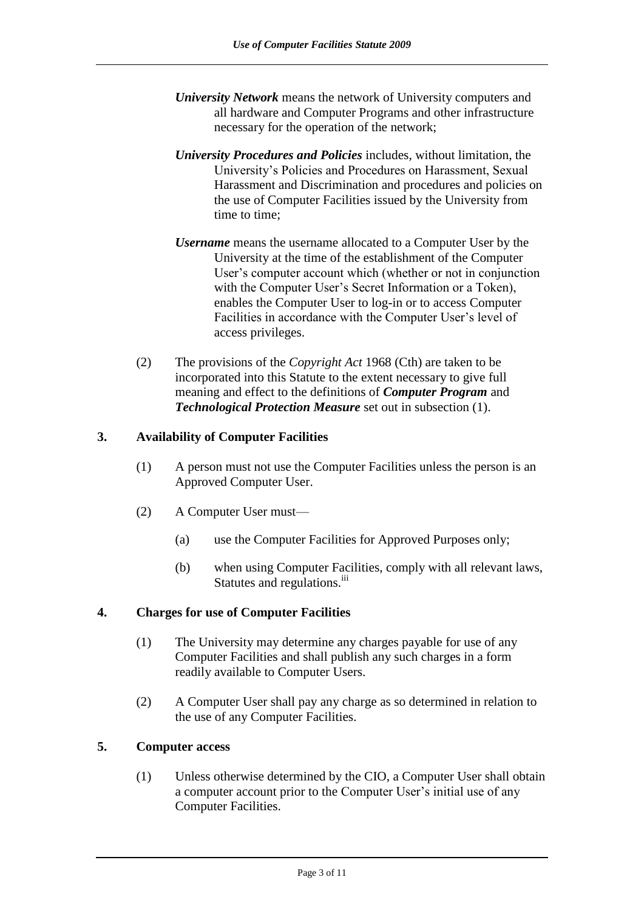- *University Network* means the network of University computers and all hardware and Computer Programs and other infrastructure necessary for the operation of the network;
- *University Procedures and Policies* includes, without limitation, the University's Policies and Procedures on Harassment, Sexual Harassment and Discrimination and procedures and policies on the use of Computer Facilities issued by the University from time to time;
- *Username* means the username allocated to a Computer User by the University at the time of the establishment of the Computer User's computer account which (whether or not in conjunction with the Computer User's Secret Information or a Token), enables the Computer User to log-in or to access Computer Facilities in accordance with the Computer User's level of access privileges.
- (2) The provisions of the *Copyright Act* 1968 (Cth) are taken to be incorporated into this Statute to the extent necessary to give full meaning and effect to the definitions of *Computer Program* and *Technological Protection Measure* set out in subsection (1).

# **3. Availability of Computer Facilities**

- (1) A person must not use the Computer Facilities unless the person is an Approved Computer User.
- (2) A Computer User must—
	- (a) use the Computer Facilities for Approved Purposes only;
	- (b) when using Computer Facilities, comply with all relevant laws, Statutes and regulations.<sup>iii</sup>

# **4. Charges for use of Computer Facilities**

- (1) The University may determine any charges payable for use of any Computer Facilities and shall publish any such charges in a form readily available to Computer Users.
- (2) A Computer User shall pay any charge as so determined in relation to the use of any Computer Facilities.

# **5. Computer access**

(1) Unless otherwise determined by the CIO, a Computer User shall obtain a computer account prior to the Computer User's initial use of any Computer Facilities.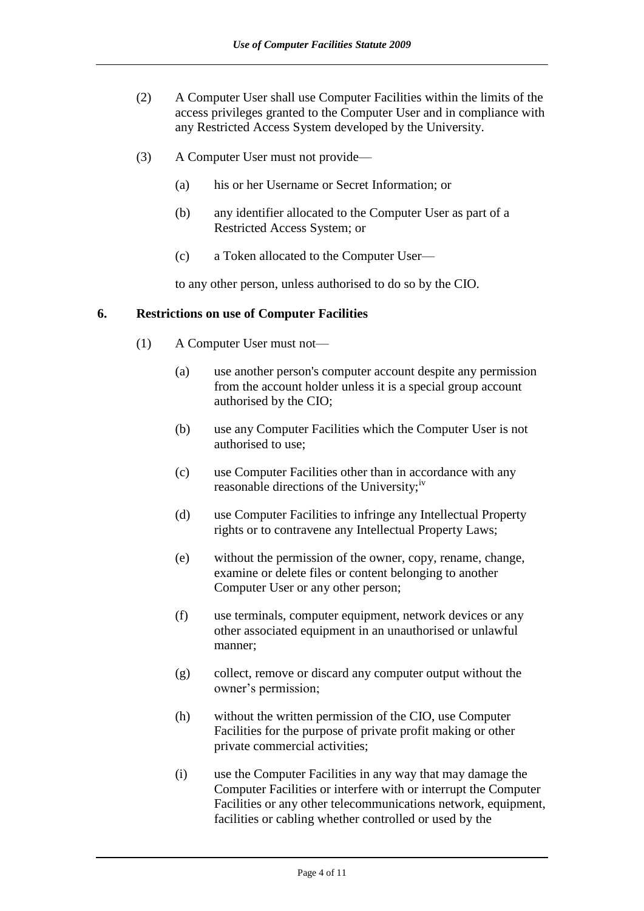- (2) A Computer User shall use Computer Facilities within the limits of the access privileges granted to the Computer User and in compliance with any Restricted Access System developed by the University.
- (3) A Computer User must not provide—
	- (a) his or her Username or Secret Information; or
	- (b) any identifier allocated to the Computer User as part of a Restricted Access System; or
	- (c) a Token allocated to the Computer User—

to any other person, unless authorised to do so by the CIO.

### **6. Restrictions on use of Computer Facilities**

- (1) A Computer User must not—
	- (a) use another person's computer account despite any permission from the account holder unless it is a special group account authorised by the CIO;
	- (b) use any Computer Facilities which the Computer User is not authorised to use;
	- (c) use Computer Facilities other than in accordance with any reasonable directions of the University;<sup>iv</sup>
	- (d) use Computer Facilities to infringe any Intellectual Property rights or to contravene any Intellectual Property Laws;
	- (e) without the permission of the owner, copy, rename, change, examine or delete files or content belonging to another Computer User or any other person;
	- (f) use terminals, computer equipment, network devices or any other associated equipment in an unauthorised or unlawful manner;
	- (g) collect, remove or discard any computer output without the owner's permission;
	- (h) without the written permission of the CIO, use Computer Facilities for the purpose of private profit making or other private commercial activities;
	- (i) use the Computer Facilities in any way that may damage the Computer Facilities or interfere with or interrupt the Computer Facilities or any other telecommunications network, equipment, facilities or cabling whether controlled or used by the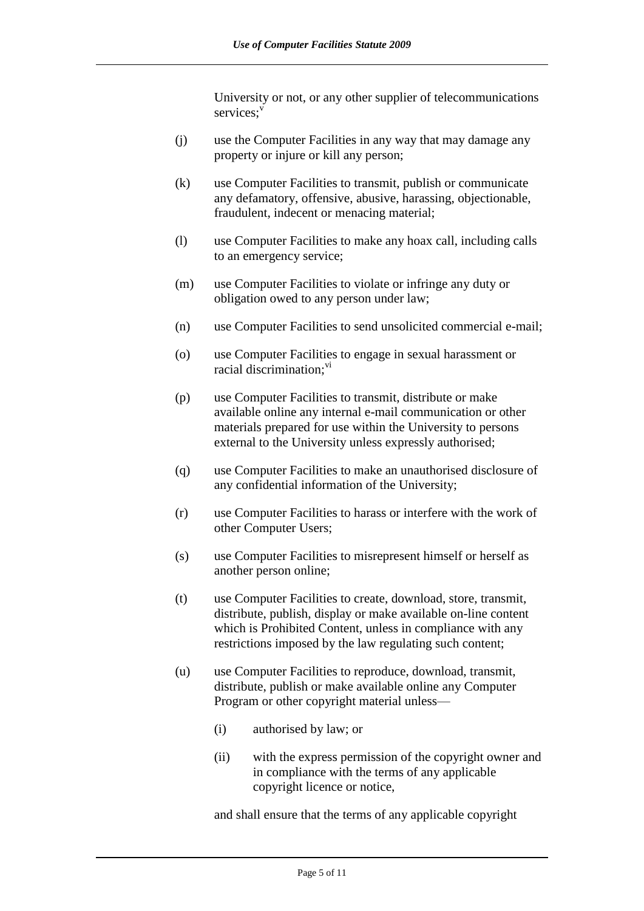University or not, or any other supplier of telecommunications services:<sup>v</sup>

- (j) use the Computer Facilities in any way that may damage any property or injure or kill any person;
- (k) use Computer Facilities to transmit, publish or communicate any defamatory, offensive, abusive, harassing, objectionable, fraudulent, indecent or menacing material;
- (l) use Computer Facilities to make any hoax call, including calls to an emergency service;
- (m) use Computer Facilities to violate or infringe any duty or obligation owed to any person under law;
- (n) use Computer Facilities to send unsolicited commercial e-mail;
- (o) use Computer Facilities to engage in sexual harassment or racial discrimination;<sup>vi</sup>
- (p) use Computer Facilities to transmit, distribute or make available online any internal e-mail communication or other materials prepared for use within the University to persons external to the University unless expressly authorised;
- (q) use Computer Facilities to make an unauthorised disclosure of any confidential information of the University;
- (r) use Computer Facilities to harass or interfere with the work of other Computer Users;
- (s) use Computer Facilities to misrepresent himself or herself as another person online;
- (t) use Computer Facilities to create, download, store, transmit, distribute, publish, display or make available on-line content which is Prohibited Content, unless in compliance with any restrictions imposed by the law regulating such content;
- (u) use Computer Facilities to reproduce, download, transmit, distribute, publish or make available online any Computer Program or other copyright material unless—
	- (i) authorised by law; or
	- (ii) with the express permission of the copyright owner and in compliance with the terms of any applicable copyright licence or notice,

and shall ensure that the terms of any applicable copyright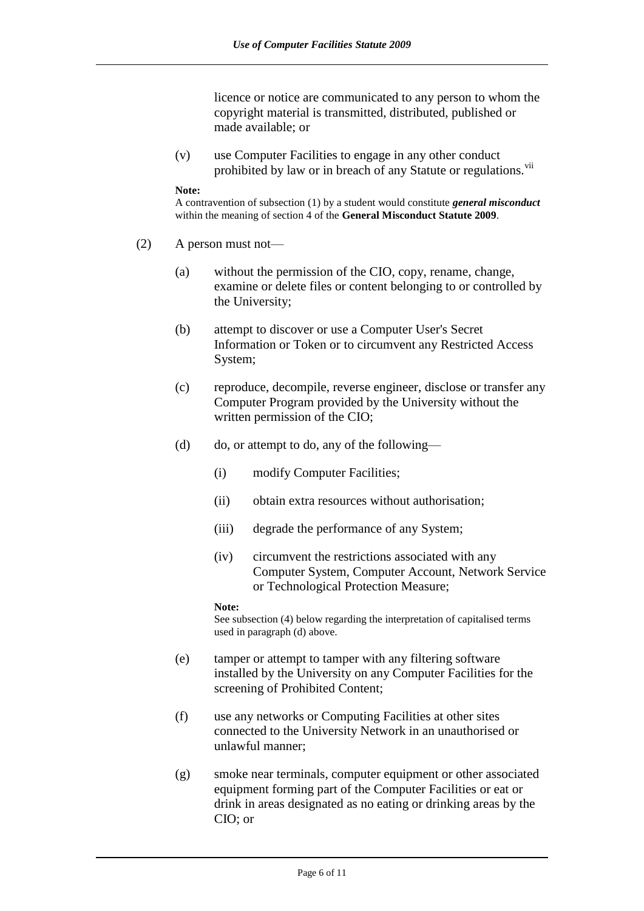licence or notice are communicated to any person to whom the copyright material is transmitted, distributed, published or made available; or

(v) use Computer Facilities to engage in any other conduct prohibited by law or in breach of any Statute or regulations.<sup>vii</sup>

#### **Note:**

A contravention of subsection (1) by a student would constitute *general misconduct* within the meaning of section 4 of the **General Misconduct Statute 2009**.

- (2) A person must not—
	- (a) without the permission of the CIO, copy, rename, change, examine or delete files or content belonging to or controlled by the University;
	- (b) attempt to discover or use a Computer User's Secret Information or Token or to circumvent any Restricted Access System;
	- (c) reproduce, decompile, reverse engineer, disclose or transfer any Computer Program provided by the University without the written permission of the CIO;
	- (d) do, or attempt to do, any of the following—
		- (i) modify Computer Facilities;
		- (ii) obtain extra resources without authorisation;
		- (iii) degrade the performance of any System;
		- (iv) circumvent the restrictions associated with any Computer System, Computer Account, Network Service or Technological Protection Measure;

### **Note:**

See subsection (4) below regarding the interpretation of capitalised terms used in paragraph (d) above.

- (e) tamper or attempt to tamper with any filtering software installed by the University on any Computer Facilities for the screening of Prohibited Content;
- (f) use any networks or Computing Facilities at other sites connected to the University Network in an unauthorised or unlawful manner;
- (g) smoke near terminals, computer equipment or other associated equipment forming part of the Computer Facilities or eat or drink in areas designated as no eating or drinking areas by the CIO; or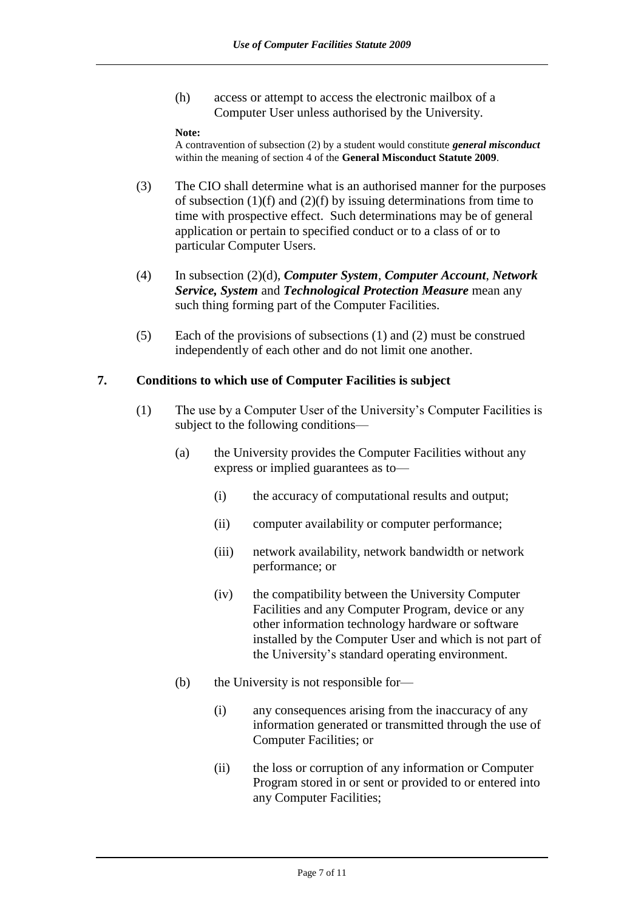(h) access or attempt to access the electronic mailbox of a Computer User unless authorised by the University.

### **Note:**

A contravention of subsection (2) by a student would constitute *general misconduct* within the meaning of section 4 of the **General Misconduct Statute 2009**.

- (3) The CIO shall determine what is an authorised manner for the purposes of subsection  $(1)(f)$  and  $(2)(f)$  by issuing determinations from time to time with prospective effect. Such determinations may be of general application or pertain to specified conduct or to a class of or to particular Computer Users.
- (4) In subsection (2)(d), *Computer System*, *Computer Account*, *Network Service, System* and *Technological Protection Measure* mean any such thing forming part of the Computer Facilities.
- (5) Each of the provisions of subsections (1) and (2) must be construed independently of each other and do not limit one another.

### **7. Conditions to which use of Computer Facilities is subject**

- (1) The use by a Computer User of the University's Computer Facilities is subject to the following conditions—
	- (a) the University provides the Computer Facilities without any express or implied guarantees as to—
		- (i) the accuracy of computational results and output;
		- (ii) computer availability or computer performance;
		- (iii) network availability, network bandwidth or network performance; or
		- (iv) the compatibility between the University Computer Facilities and any Computer Program, device or any other information technology hardware or software installed by the Computer User and which is not part of the University's standard operating environment.
	- (b) the University is not responsible for—
		- (i) any consequences arising from the inaccuracy of any information generated or transmitted through the use of Computer Facilities; or
		- (ii) the loss or corruption of any information or Computer Program stored in or sent or provided to or entered into any Computer Facilities;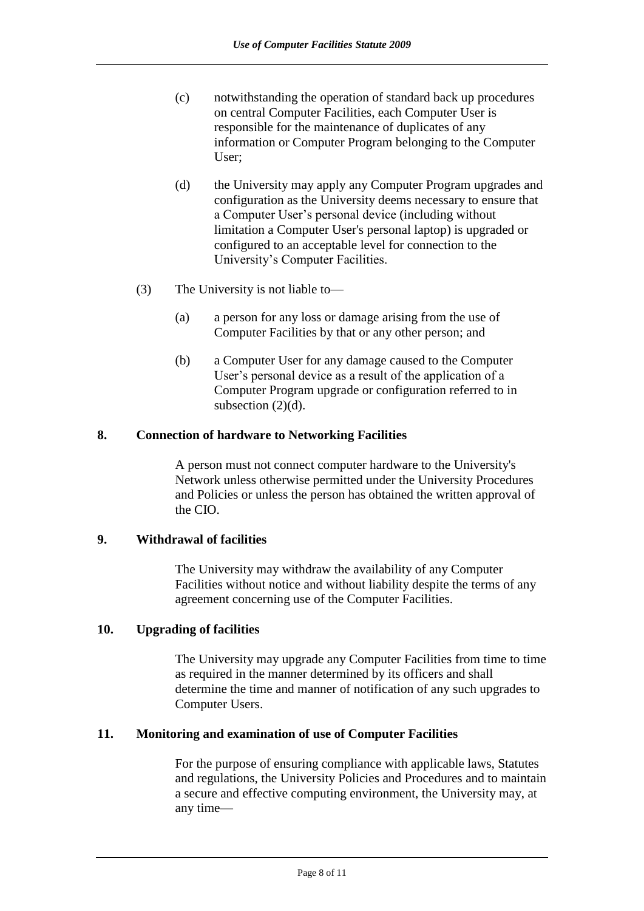- (c) notwithstanding the operation of standard back up procedures on central Computer Facilities, each Computer User is responsible for the maintenance of duplicates of any information or Computer Program belonging to the Computer User;
- (d) the University may apply any Computer Program upgrades and configuration as the University deems necessary to ensure that a Computer User's personal device (including without limitation a Computer User's personal laptop) is upgraded or configured to an acceptable level for connection to the University's Computer Facilities.
- (3) The University is not liable to—
	- (a) a person for any loss or damage arising from the use of Computer Facilities by that or any other person; and
	- (b) a Computer User for any damage caused to the Computer User's personal device as a result of the application of a Computer Program upgrade or configuration referred to in subsection  $(2)(d)$ .

# **8. Connection of hardware to Networking Facilities**

A person must not connect computer hardware to the University's Network unless otherwise permitted under the University Procedures and Policies or unless the person has obtained the written approval of the CIO.

# **9. Withdrawal of facilities**

The University may withdraw the availability of any Computer Facilities without notice and without liability despite the terms of any agreement concerning use of the Computer Facilities.

# **10. Upgrading of facilities**

The University may upgrade any Computer Facilities from time to time as required in the manner determined by its officers and shall determine the time and manner of notification of any such upgrades to Computer Users.

# **11. Monitoring and examination of use of Computer Facilities**

For the purpose of ensuring compliance with applicable laws, Statutes and regulations, the University Policies and Procedures and to maintain a secure and effective computing environment, the University may, at any time—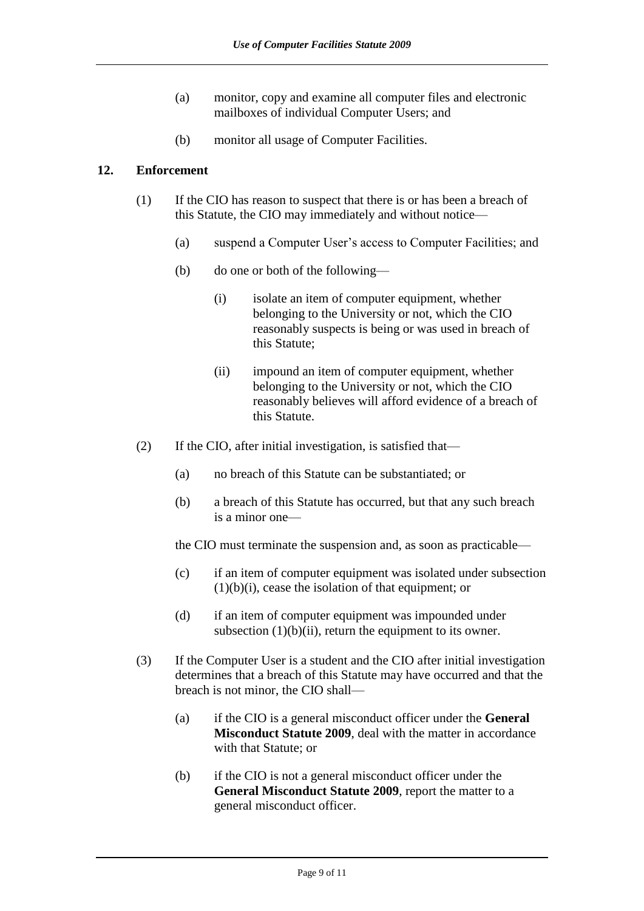- (a) monitor, copy and examine all computer files and electronic mailboxes of individual Computer Users; and
- (b) monitor all usage of Computer Facilities.

# **12. Enforcement**

- (1) If the CIO has reason to suspect that there is or has been a breach of this Statute, the CIO may immediately and without notice—
	- (a) suspend a Computer User's access to Computer Facilities; and
	- (b) do one or both of the following—
		- (i) isolate an item of computer equipment, whether belonging to the University or not, which the CIO reasonably suspects is being or was used in breach of this Statute;
		- (ii) impound an item of computer equipment, whether belonging to the University or not, which the CIO reasonably believes will afford evidence of a breach of this Statute.
- (2) If the CIO, after initial investigation, is satisfied that—
	- (a) no breach of this Statute can be substantiated; or
	- (b) a breach of this Statute has occurred, but that any such breach is a minor one—

the CIO must terminate the suspension and, as soon as practicable—

- (c) if an item of computer equipment was isolated under subsection  $(1)(b)(i)$ , cease the isolation of that equipment; or
- (d) if an item of computer equipment was impounded under subsection  $(1)(b)(ii)$ , return the equipment to its owner.
- (3) If the Computer User is a student and the CIO after initial investigation determines that a breach of this Statute may have occurred and that the breach is not minor, the CIO shall—
	- (a) if the CIO is a general misconduct officer under the **General Misconduct Statute 2009**, deal with the matter in accordance with that Statute; or
	- (b) if the CIO is not a general misconduct officer under the **General Misconduct Statute 2009**, report the matter to a general misconduct officer.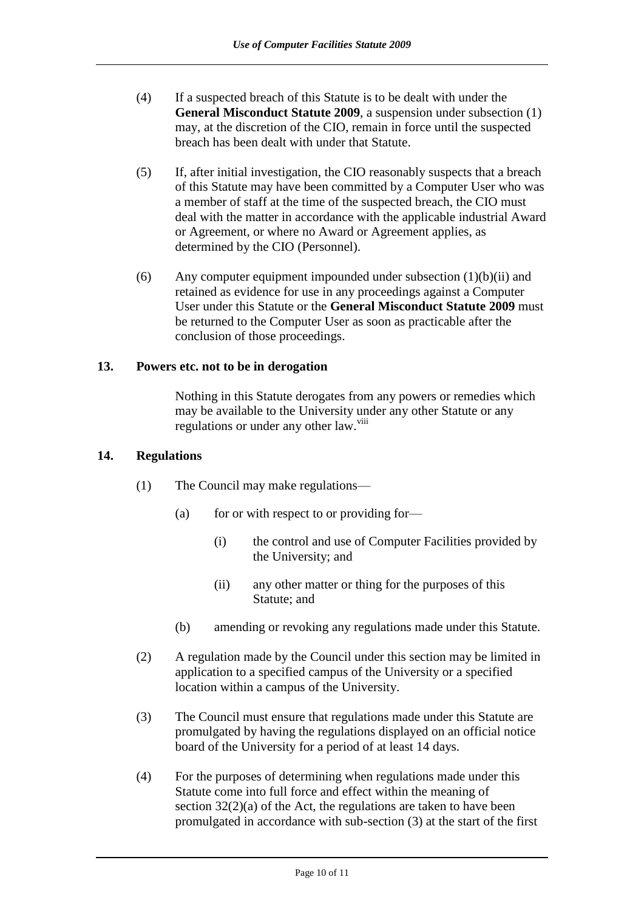- (4) If a suspected breach of this Statute is to be dealt with under the **General Misconduct Statute 2009**, a suspension under subsection (1) may, at the discretion of the CIO, remain in force until the suspected breach has been dealt with under that Statute.
- (5) If, after initial investigation, the CIO reasonably suspects that a breach of this Statute may have been committed by a Computer User who was a member of staff at the time of the suspected breach, the CIO must deal with the matter in accordance with the applicable industrial Award or Agreement, or where no Award or Agreement applies, as determined by the CIO (Personnel).
- (6) Any computer equipment impounded under subsection  $(1)(b)(ii)$  and retained as evidence for use in any proceedings against a Computer User under this Statute or the **General Misconduct Statute 2009** must be returned to the Computer User as soon as practicable after the conclusion of those proceedings.

# **13. Powers etc. not to be in derogation**

Nothing in this Statute derogates from any powers or remedies which may be available to the University under any other Statute or any regulations or under any other law.<sup>viii</sup>

## **14. Regulations**

- (1) The Council may make regulations—
	- (a) for or with respect to or providing for-
		- (i) the control and use of Computer Facilities provided by the University; and
		- (ii) any other matter or thing for the purposes of this Statute; and
	- (b) amending or revoking any regulations made under this Statute.
- (2) A regulation made by the Council under this section may be limited in application to a specified campus of the University or a specified location within a campus of the University.
- (3) The Council must ensure that regulations made under this Statute are promulgated by having the regulations displayed on an official notice board of the University for a period of at least 14 days.
- (4) For the purposes of determining when regulations made under this Statute come into full force and effect within the meaning of section 32(2)(a) of the Act, the regulations are taken to have been promulgated in accordance with sub-section (3) at the start of the first